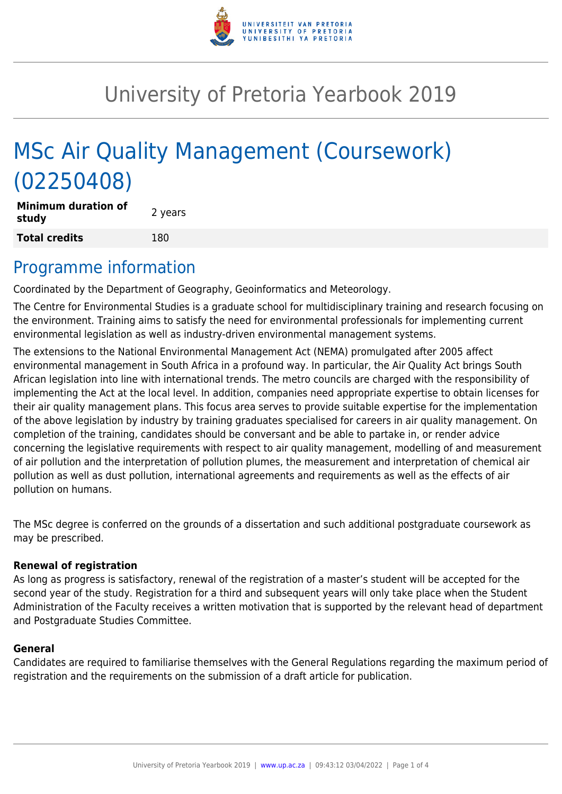

# University of Pretoria Yearbook 2019

# MSc Air Quality Management (Coursework) (02250408)

**Minimum duration of study and all study 2** years **Total credits** 180

### Programme information

Coordinated by the Department of Geography, Geoinformatics and Meteorology.

The Centre for Environmental Studies is a graduate school for multidisciplinary training and research focusing on the environment. Training aims to satisfy the need for environmental professionals for implementing current environmental legislation as well as industry-driven environmental management systems.

The extensions to the National Environmental Management Act (NEMA) promulgated after 2005 affect environmental management in South Africa in a profound way. In particular, the Air Quality Act brings South African legislation into line with international trends. The metro councils are charged with the responsibility of implementing the Act at the local level. In addition, companies need appropriate expertise to obtain licenses for their air quality management plans. This focus area serves to provide suitable expertise for the implementation of the above legislation by industry by training graduates specialised for careers in air quality management. On completion of the training, candidates should be conversant and be able to partake in, or render advice concerning the legislative requirements with respect to air quality management, modelling of and measurement of air pollution and the interpretation of pollution plumes, the measurement and interpretation of chemical air pollution as well as dust pollution, international agreements and requirements as well as the effects of air pollution on humans.

The MSc degree is conferred on the grounds of a dissertation and such additional postgraduate coursework as may be prescribed.

#### **Renewal of registration**

As long as progress is satisfactory, renewal of the registration of a master's student will be accepted for the second year of the study. Registration for a third and subsequent years will only take place when the Student Administration of the Faculty receives a written motivation that is supported by the relevant head of department and Postgraduate Studies Committee.

#### **General**

Candidates are required to familiarise themselves with the General Regulations regarding the maximum period of registration and the requirements on the submission of a draft article for publication.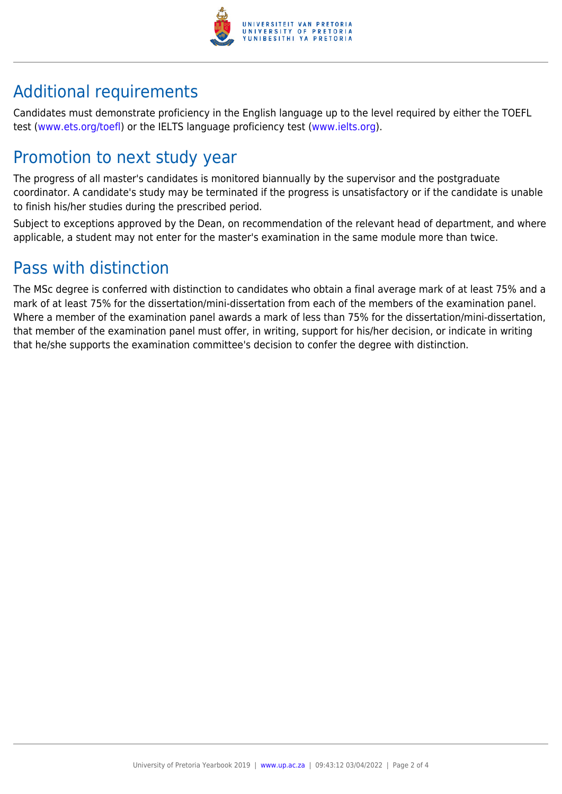

## Additional requirements

Candidates must demonstrate proficiency in the English language up to the level required by either the TOEFL test [\(www.ets.org/toefl\)](http://www.ets.org/toefl) or the IELTS language proficiency test ([www.ielts.org](http://www.ielts.org)).

## Promotion to next study year

The progress of all master's candidates is monitored biannually by the supervisor and the postgraduate coordinator. A candidate's study may be terminated if the progress is unsatisfactory or if the candidate is unable to finish his/her studies during the prescribed period.

Subject to exceptions approved by the Dean, on recommendation of the relevant head of department, and where applicable, a student may not enter for the master's examination in the same module more than twice.

### Pass with distinction

The MSc degree is conferred with distinction to candidates who obtain a final average mark of at least 75% and a mark of at least 75% for the dissertation/mini-dissertation from each of the members of the examination panel. Where a member of the examination panel awards a mark of less than 75% for the dissertation/mini-dissertation, that member of the examination panel must offer, in writing, support for his/her decision, or indicate in writing that he/she supports the examination committee's decision to confer the degree with distinction.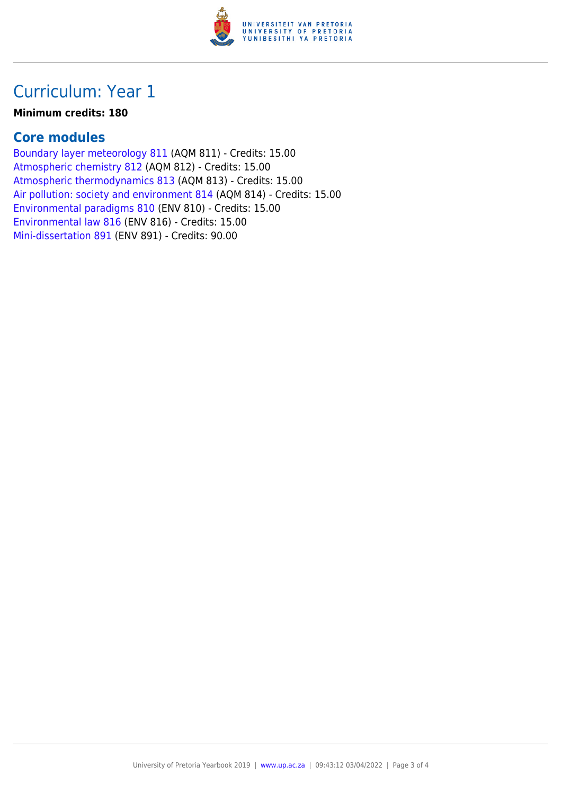

## Curriculum: Year 1

#### **Minimum credits: 180**

#### **Core modules**

[Boundary layer meteorology 811](https://www.up.ac.za/yearbooks/2019/modules/view/AQM 811) (AQM 811) - Credits: 15.00 [Atmospheric chemistry 812](https://www.up.ac.za/yearbooks/2019/modules/view/AQM 812) (AQM 812) - Credits: 15.00 [Atmospheric thermodynamics 813](https://www.up.ac.za/yearbooks/2019/modules/view/AQM 813) (AQM 813) - Credits: 15.00 [Air pollution: society and environment 814](https://www.up.ac.za/yearbooks/2019/modules/view/AQM 814) (AQM 814) - Credits: 15.00 [Environmental paradigms 810](https://www.up.ac.za/yearbooks/2019/modules/view/ENV 810) (ENV 810) - Credits: 15.00 [Environmental law 816](https://www.up.ac.za/yearbooks/2019/modules/view/ENV 816) (ENV 816) - Credits: 15.00 [Mini-dissertation 891](https://www.up.ac.za/yearbooks/2019/modules/view/ENV 891) (ENV 891) - Credits: 90.00